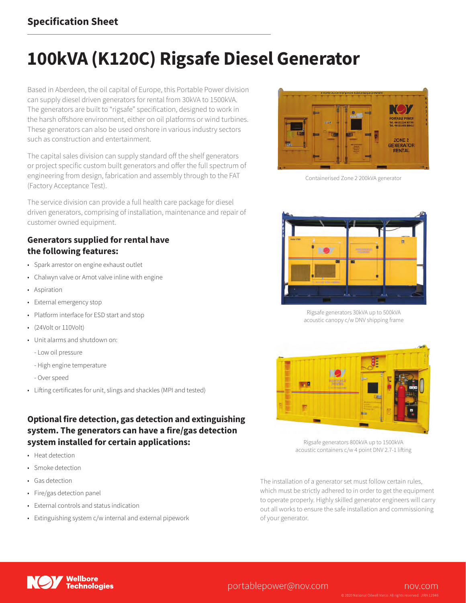### **Specification Sheet**

# **100kVA (K120C) Rigsafe Diesel Generator**

Based in Aberdeen, the oil capital of Europe, this Portable Power division can supply diesel driven generators for rental from 30kVA to 1500kVA. The generators are built to "rigsafe" specification, designed to work in the harsh offshore environment, either on oil platforms or wind turbines. These generators can also be used onshore in various industry sectors such as construction and entertainment.

The capital sales division can supply standard off the shelf generators or project specific custom built generators and offer the full spectrum of engineering from design, fabrication and assembly through to the FAT (Factory Acceptance Test).

The service division can provide a full health care package for diesel driven generators, comprising of installation, maintenance and repair of customer owned equipment.

#### **Generators supplied for rental have the following features:**

- Spark arrestor on engine exhaust outlet
- Chalwyn valve or Amot valve inline with engine
- Aspiration
- External emergency stop
- Platform interface for ESD start and stop
- (24Volt or 110Volt)
- Unit alarms and shutdown on:
	- Low oil pressure
	- High engine temperature
	- Over speed
- Lifting certificates for unit, slings and shackles (MPI and tested)

#### **Optional fire detection, gas detection and extinguishing system. The generators can have a fire/gas detection system installed for certain applications:**

- Heat detection
- Smoke detection
- Gas detection
- Fire/gas detection panel
- External controls and status indication
- Extinguishing system c/w internal and external pipework



Containerised Zone 2 200kVA generator



Rigsafe generators 30kVA up to 500kVA acoustic canopy c/w DNV shipping frame



Rigsafe generators 800kVA up to 1500kVA acoustic containers c/w 4 point DNV 2.7-1 lifting

The installation of a generator set must follow certain rules, which must be strictly adhered to in order to get the equipment to operate properly. Highly skilled generator engineers will carry out all works to ensure the safe installation and commissioning of your generator.



#### portablepower@nov.com nov.com